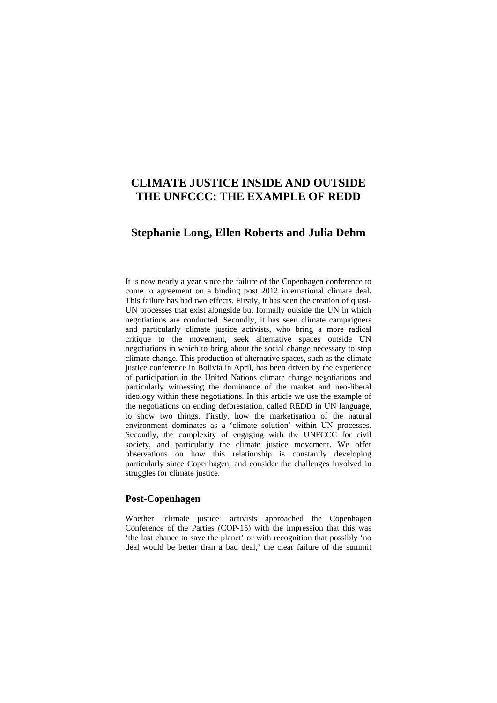# **CLIMATE JUSTICE INSIDE AND OUTSIDE THE UNFCCC: THE EXAMPLE OF REDD**

## **Stephanie Long, Ellen Roberts and Julia Dehm**

It is now nearly a year since the failure of the Copenhagen conference to come to agreement on a binding post 2012 international climate deal. This failure has had two effects. Firstly, it has seen the creation of quasi-UN processes that exist alongside but formally outside the UN in which negotiations are conducted. Secondly, it has seen climate campaigners and particularly climate justice activists, who bring a more radical critique to the movement, seek alternative spaces outside UN negotiations in which to bring about the social change necessary to stop climate change. This production of alternative spaces, such as the climate justice conference in Bolivia in April, has been driven by the experience of participation in the United Nations climate change negotiations and particularly witnessing the dominance of the market and neo-liberal ideology within these negotiations. In this article we use the example of the negotiations on ending deforestation, called REDD in UN language, to show two things. Firstly, how the marketisation of the natural environment dominates as a 'climate solution' within UN processes. Secondly, the complexity of engaging with the UNFCCC for civil society, and particularly the climate justice movement. We offer observations on how this relationship is constantly developing particularly since Copenhagen, and consider the challenges involved in struggles for climate justice.

#### **Post-Copenhagen**

Whether 'climate justice' activists approached the Copenhagen Conference of the Parties (COP-15) with the impression that this was 'the last chance to save the planet' or with recognition that possibly 'no deal would be better than a bad deal,' the clear failure of the summit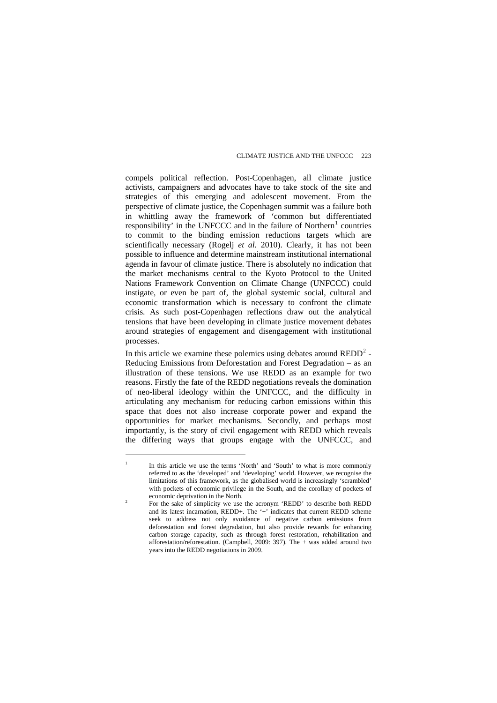compels political reflection. Post-Copenhagen, all climate justice activists, campaigners and advocates have to take stock of the site and strategies of this emerging and adolescent movement. From the perspective of climate justice, the Copenhagen summit was a failure both in whittling away the framework of 'common but differentiated responsibility' in the UNFCCC and in the failure of Northern<sup>[1](#page-1-0)</sup> countries to commit to the binding emission reductions targets which are scientifically necessary (Rogelj *et al.* 2010). Clearly, it has not been possible to influence and determine mainstream institutional international agenda in favour of climate justice. There is absolutely no indication that the market mechanisms central to the Kyoto Protocol to the United Nations Framework Convention on Climate Change (UNFCCC) could instigate, or even be part of, the global systemic social, cultural and economic transformation which is necessary to confront the climate crisis. As such post-Copenhagen reflections draw out the analytical tensions that have been developing in climate justice movement debates around strategies of engagement and disengagement with institutional processes.

In this article we examine these polemics using debates around  $\text{REDD}^2$  $\text{REDD}^2$  -Reducing Emissions from Deforestation and Forest Degradation – as an illustration of these tensions. We use REDD as an example for two reasons. Firstly the fate of the REDD negotiations reveals the domination of neo-liberal ideology within the UNFCCC, and the difficulty in articulating any mechanism for reducing carbon emissions within this space that does not also increase corporate power and expand the opportunities for market mechanisms. Secondly, and perhaps most importantly, is the story of civil engagement with REDD which reveals the differing ways that groups engage with the UNFCCC, and

<span id="page-1-0"></span><sup>1</sup> In this article we use the terms 'North' and 'South' to what is more commonly referred to as the 'developed' and 'developing' world. However, we recognise the limitations of this framework, as the globalised world is increasingly 'scrambled' with pockets of economic privilege in the South, and the corollary of pockets of economic deprivation in the North.

<span id="page-1-1"></span>For the sake of simplicity we use the acronym 'REDD' to describe both REDD and its latest incarnation, REDD+. The '+' indicates that current REDD scheme seek to address not only avoidance of negative carbon emissions from deforestation and forest degradation, but also provide rewards for enhancing carbon storage capacity, such as through forest restoration, rehabilitation and afforestation/reforestation. (Campbell, 2009: 397). The  $+$  was added around two years into the REDD negotiations in 2009.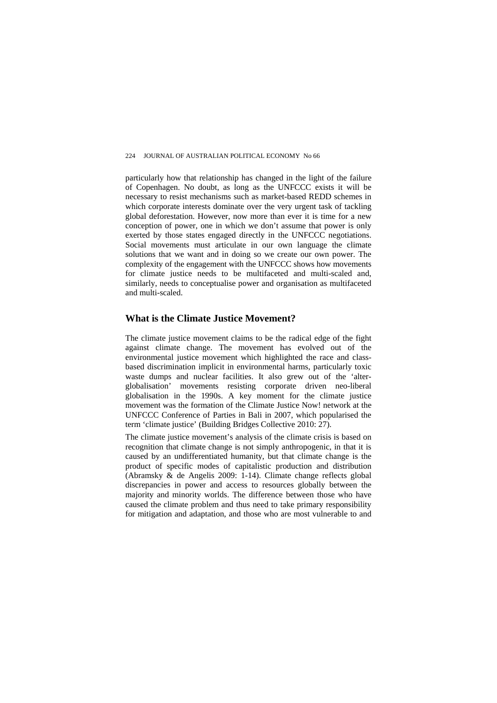particularly how that relationship has changed in the light of the failure of Copenhagen. No doubt, as long as the UNFCCC exists it will be necessary to resist mechanisms such as market-based REDD schemes in which corporate interests dominate over the very urgent task of tackling global deforestation. However, now more than ever it is time for a new conception of power, one in which we don't assume that power is only exerted by those states engaged directly in the UNFCCC negotiations. Social movements must articulate in our own language the climate solutions that we want and in doing so we create our own power. The complexity of the engagement with the UNFCCC shows how movements for climate justice needs to be multifaceted and multi-scaled and, similarly, needs to conceptualise power and organisation as multifaceted and multi-scaled.

#### **What is the Climate Justice Movement?**

The climate justice movement claims to be the radical edge of the fight against climate change. The movement has evolved out of the environmental justice movement which highlighted the race and classbased discrimination implicit in environmental harms, particularly toxic waste dumps and nuclear facilities. It also grew out of the 'alterglobalisation' movements resisting corporate driven neo-liberal globalisation in the 1990s. A key moment for the climate justice movement was the formation of the Climate Justice Now! network at the UNFCCC Conference of Parties in Bali in 2007, which popularised the term 'climate justice' (Building Bridges Collective 2010: 27).

The climate justice movement's analysis of the climate crisis is based on recognition that climate change is not simply anthropogenic, in that it is caused by an undifferentiated humanity, but that climate change is the product of specific modes of capitalistic production and distribution (Abramsky & de Angelis 2009: 1-14). Climate change reflects global discrepancies in power and access to resources globally between the majority and minority worlds. The difference between those who have caused the climate problem and thus need to take primary responsibility for mitigation and adaptation, and those who are most vulnerable to and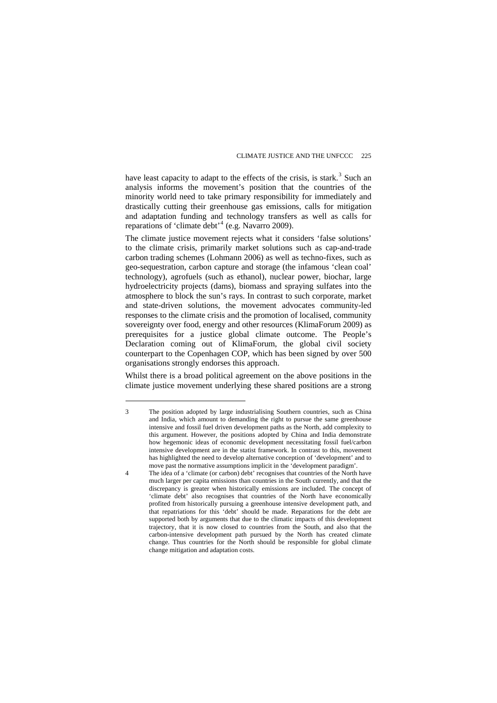have least capacity to adapt to the effects of the crisis, is stark.<sup>[3](#page-3-0)</sup> Such an analysis informs the movement's position that the countries of the minority world need to take primary responsibility for immediately and drastically cutting their greenhouse gas emissions, calls for mitigation and adaptation funding and technology transfers as well as calls for reparations of 'climate debt'<sup>[4](#page-3-1)</sup> (e.g. Navarro 2009).

The climate justice movement rejects what it considers 'false solutions' to the climate crisis, primarily market solutions such as cap-and-trade carbon trading schemes (Lohmann 2006) as well as techno-fixes, such as geo-sequestration, carbon capture and storage (the infamous 'clean coal' technology), agrofuels (such as ethanol), nuclear power, biochar, large hydroelectricity projects (dams), biomass and spraying sulfates into the atmosphere to block the sun's rays. In contrast to such corporate, market and state-driven solutions, the movement advocates community-led responses to the climate crisis and the promotion of localised, community sovereignty over food, energy and other resources (KlimaForum 2009) as prerequisites for a justice global climate outcome. The People's Declaration coming out of KlimaForum, the global civil society counterpart to the Copenhagen COP, which has been signed by over 500 organisations strongly endorses this approach.

Whilst there is a broad political agreement on the above positions in the climate justice movement underlying these shared positions are a strong

<span id="page-3-0"></span><sup>3</sup> The position adopted by large industrialising Southern countries, such as China and India, which amount to demanding the right to pursue the same greenhouse intensive and fossil fuel driven development paths as the North, add complexity to this argument. However, the positions adopted by China and India demonstrate how hegemonic ideas of economic development necessitating fossil fuel/carbon intensive development are in the statist framework. In contrast to this, movement has highlighted the need to develop alternative conception of 'development' and to move past the normative assumptions implicit in the 'development paradigm'.

<span id="page-3-1"></span><sup>4</sup> The idea of a 'climate (or carbon) debt' recognises that countries of the North have much larger per capita emissions than countries in the South currently, and that the discrepancy is greater when historically emissions are included. The concept of 'climate debt' also recognises that countries of the North have economically profited from historically pursuing a greenhouse intensive development path, and that repatriations for this 'debt' should be made. Reparations for the debt are supported both by arguments that due to the climatic impacts of this development trajectory, that it is now closed to countries from the South, and also that the carbon-intensive development path pursued by the North has created climate change. Thus countries for the North should be responsible for global climate change mitigation and adaptation costs.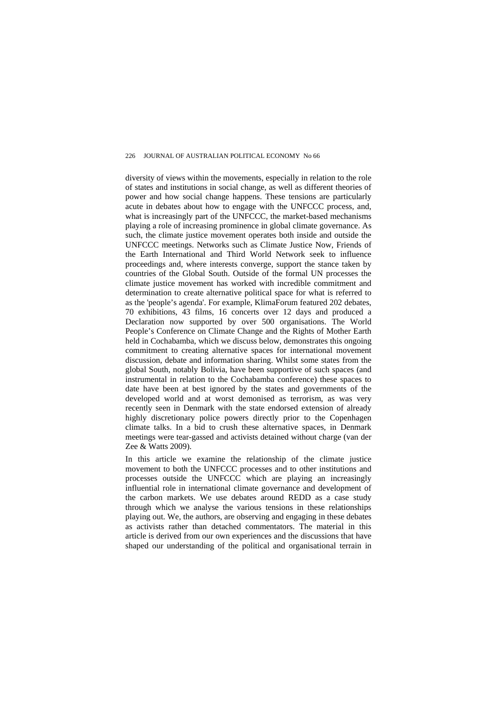diversity of views within the movements, especially in relation to the role of states and institutions in social change, as well as different theories of power and how social change happens. These tensions are particularly acute in debates about how to engage with the UNFCCC process, and, what is increasingly part of the UNFCCC, the market-based mechanisms playing a role of increasing prominence in global climate governance. As such, the climate justice movement operates both inside and outside the UNFCCC meetings. Networks such as Climate Justice Now, Friends of the Earth International and Third World Network seek to influence proceedings and, where interests converge, support the stance taken by countries of the Global South. Outside of the formal UN processes the climate justice movement has worked with incredible commitment and determination to create alternative political space for what is referred to as the 'people's agenda'. For example, KlimaForum featured 202 debates, 70 exhibitions, 43 films, 16 concerts over 12 days and produced a Declaration now supported by over 500 organisations. The World People's Conference on Climate Change and the Rights of Mother Earth held in Cochabamba, which we discuss below, demonstrates this ongoing commitment to creating alternative spaces for international movement discussion, debate and information sharing. Whilst some states from the global South, notably Bolivia, have been supportive of such spaces (and instrumental in relation to the Cochabamba conference) these spaces to date have been at best ignored by the states and governments of the developed world and at worst demonised as terrorism, as was very recently seen in Denmark with the state endorsed extension of already highly discretionary police powers directly prior to the Copenhagen climate talks. In a bid to crush these alternative spaces, in Denmark meetings were tear-gassed and activists detained without charge (van der Zee & Watts 2009).

In this article we examine the relationship of the climate justice movement to both the UNFCCC processes and to other institutions and processes outside the UNFCCC which are playing an increasingly influential role in international climate governance and development of the carbon markets. We use debates around REDD as a case study through which we analyse the various tensions in these relationships playing out. We, the authors, are observing and engaging in these debates as activists rather than detached commentators. The material in this article is derived from our own experiences and the discussions that have shaped our understanding of the political and organisational terrain in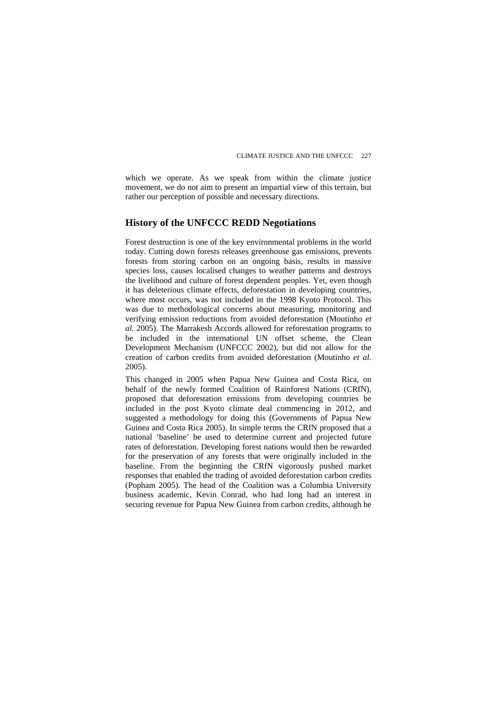which we operate. As we speak from within the climate justice movement, we do not aim to present an impartial view of this terrain, but rather our perception of possible and necessary directions.

### **History of the UNFCCC REDD Negotiations**

Forest destruction is one of the key environmental problems in the world today. Cutting down forests releases greenhouse gas emissions, prevents forests from storing carbon on an ongoing basis, results in massive species loss, causes localised changes to weather patterns and destroys the livelihood and culture of forest dependent peoples. Yet, even though it has deleterious climate effects, deforestation in developing countries, where most occurs, was not included in the 1998 Kyoto Protocol. This was due to methodological concerns about measuring, monitoring and verifying emission reductions from avoided deforestation (Moutinho *et al.* 2005). The Marrakesh Accords allowed for reforestation programs to be included in the international UN offset scheme, the Clean Development Mechanism (UNFCCC 2002), but did not allow for the creation of carbon credits from avoided deforestation (Moutinho *et al*. 2005).

This changed in 2005 when Papua New Guinea and Costa Rica, on behalf of the newly formed Coalition of Rainforest Nations (CRfN), proposed that deforestation emissions from developing countries be included in the post Kyoto climate deal commencing in 2012, and suggested a methodology for doing this (Governments of Papua New Guinea and Costa Rica 2005). In simple terms the CRfN proposed that a national 'baseline' be used to determine current and projected future rates of deforestation. Developing forest nations would then be rewarded for the preservation of any forests that were originally included in the baseline. From the beginning the CRfN vigorously pushed market responses that enabled the trading of avoided deforestation carbon credits (Popham 2005). The head of the Coalition was a Columbia University business academic, Kevin Conrad, who had long had an interest in securing revenue for Papua New Guinea from carbon credits, although he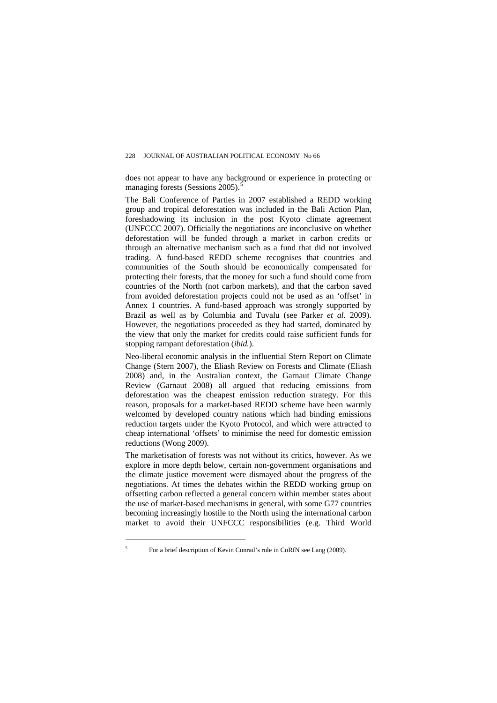does not appear to have any background or experience in protecting or managing forests (Sessions 200[5](#page-6-0)).<sup>5</sup>

The Bali Conference of Parties in 2007 established a REDD working group and tropical deforestation was included in the Bali Action Plan, foreshadowing its inclusion in the post Kyoto climate agreement (UNFCCC 2007). Officially the negotiations are inconclusive on whether deforestation will be funded through a market in carbon credits or through an alternative mechanism such as a fund that did not involved trading. A fund-based REDD scheme recognises that countries and communities of the South should be economically compensated for protecting their forests, that the money for such a fund should come from countries of the North (not carbon markets), and that the carbon saved from avoided deforestation projects could not be used as an 'offset' in Annex 1 countries. A fund-based approach was strongly supported by Brazil as well as by Columbia and Tuvalu (see Parker *et al.* 2009). However, the negotiations proceeded as they had started, dominated by the view that only the market for credits could raise sufficient funds for stopping rampant deforestation (*ibid.*).

Neo-liberal economic analysis in the influential Stern Report on Climate Change (Stern 2007), the Eliash Review on Forests and Climate (Eliash 2008) and, in the Australian context, the Garnaut Climate Change Review (Garnaut 2008) all argued that reducing emissions from deforestation was the cheapest emission reduction strategy. For this reason, proposals for a market-based REDD scheme have been warmly welcomed by developed country nations which had binding emissions reduction targets under the Kyoto Protocol, and which were attracted to cheap international 'offsets' to minimise the need for domestic emission reductions (Wong 2009).

The marketisation of forests was not without its critics, however. As we explore in more depth below, certain non-government organisations and the climate justice movement were dismayed about the progress of the negotiations. At times the debates within the REDD working group on offsetting carbon reflected a general concern within member states about the use of market-based mechanisms in general, with some G77 countries becoming increasingly hostile to the North using the international carbon market to avoid their UNFCCC responsibilities (e.g. Third World

<span id="page-6-0"></span>For a brief description of Kevin Conrad's role in CoRfN see Lang (2009).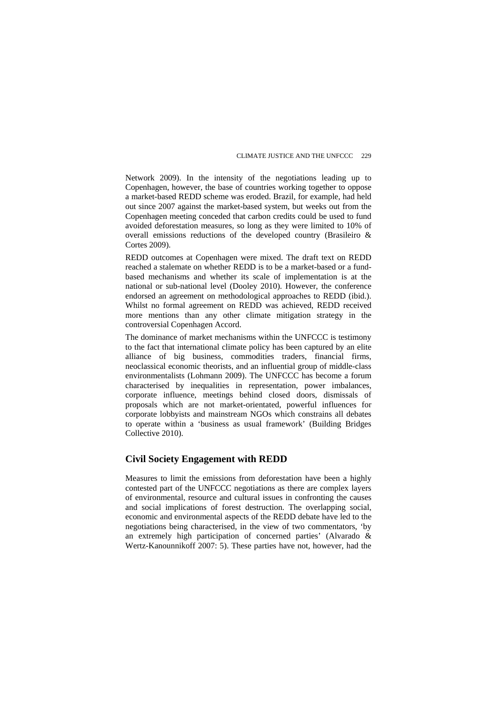Network 2009). In the intensity of the negotiations leading up to Copenhagen, however, the base of countries working together to oppose a market-based REDD scheme was eroded. Brazil, for example, had held out since 2007 against the market-based system, but weeks out from the Copenhagen meeting conceded that carbon credits could be used to fund avoided deforestation measures, so long as they were limited to 10% of overall emissions reductions of the developed country (Brasileiro & Cortes 2009).

REDD outcomes at Copenhagen were mixed. The draft text on REDD reached a stalemate on whether REDD is to be a market-based or a fundbased mechanisms and whether its scale of implementation is at the national or sub-national level (Dooley 2010). However, the conference endorsed an agreement on methodological approaches to REDD (ibid.). Whilst no formal agreement on REDD was achieved, REDD received more mentions than any other climate mitigation strategy in the controversial Copenhagen Accord.

The dominance of market mechanisms within the UNFCCC is testimony to the fact that international climate policy has been captured by an elite alliance of big business, commodities traders, financial firms, neoclassical economic theorists, and an influential group of middle-class environmentalists (Lohmann 2009). The UNFCCC has become a forum characterised by inequalities in representation, power imbalances, corporate influence, meetings behind closed doors, dismissals of proposals which are not market-orientated, powerful influences for corporate lobbyists and mainstream NGOs which constrains all debates to operate within a 'business as usual framework' (Building Bridges Collective 2010).

#### **Civil Society Engagement with REDD**

Measures to limit the emissions from deforestation have been a highly contested part of the UNFCCC negotiations as there are complex layers of environmental, resource and cultural issues in confronting the causes and social implications of forest destruction. The overlapping social, economic and environmental aspects of the REDD debate have led to the negotiations being characterised, in the view of two commentators, 'by an extremely high participation of concerned parties' (Alvarado & Wertz-Kanounnikoff 2007: 5). These parties have not, however, had the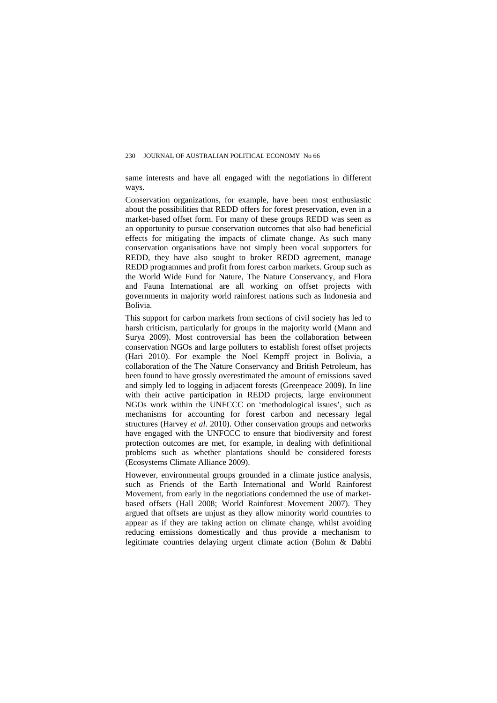same interests and have all engaged with the negotiations in different ways.

Conservation organizations, for example, have been most enthusiastic about the possibilities that REDD offers for forest preservation, even in a market-based offset form. For many of these groups REDD was seen as an opportunity to pursue conservation outcomes that also had beneficial effects for mitigating the impacts of climate change. As such many conservation organisations have not simply been vocal supporters for REDD, they have also sought to broker REDD agreement, manage REDD programmes and profit from forest carbon markets. Group such as the World Wide Fund for Nature, The Nature Conservancy, and Flora and Fauna International are all working on offset projects with governments in majority world rainforest nations such as Indonesia and Bolivia.

This support for carbon markets from sections of civil society has led to harsh criticism, particularly for groups in the majority world (Mann and Surya 2009). Most controversial has been the collaboration between conservation NGOs and large polluters to establish forest offset projects (Hari 2010). For example the Noel Kempff project in Bolivia, a collaboration of the The Nature Conservancy and British Petroleum, has been found to have grossly overestimated the amount of emissions saved and simply led to logging in adjacent forests (Greenpeace 2009). In line with their active participation in REDD projects, large environment NGOs work within the UNFCCC on 'methodological issues', such as mechanisms for accounting for forest carbon and necessary legal structures (Harvey *et al*. 2010). Other conservation groups and networks have engaged with the UNFCCC to ensure that biodiversity and forest protection outcomes are met, for example, in dealing with definitional problems such as whether plantations should be considered forests (Ecosystems Climate Alliance 2009).

However, environmental groups grounded in a climate justice analysis, such as Friends of the Earth International and World Rainforest Movement, from early in the negotiations condemned the use of marketbased offsets (Hall 2008; World Rainforest Movement 2007). They argued that offsets are unjust as they allow minority world countries to appear as if they are taking action on climate change, whilst avoiding reducing emissions domestically and thus provide a mechanism to legitimate countries delaying urgent climate action (Bohm & Dabhi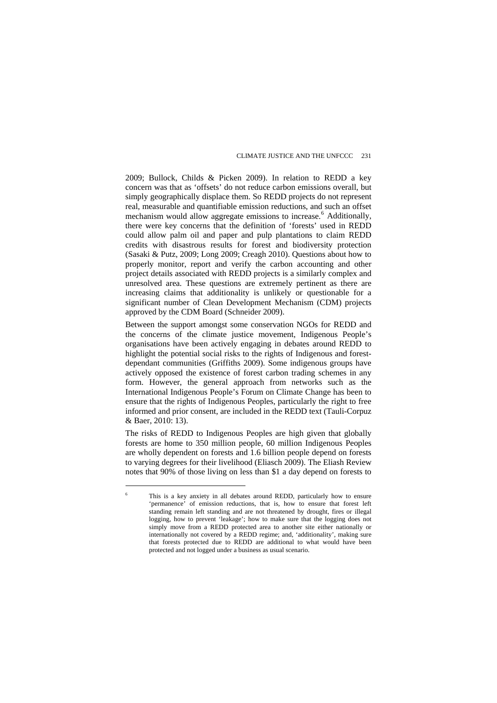2009; Bullock, Childs & Picken 2009). In relation to REDD a key concern was that as 'offsets' do not reduce carbon emissions overall, but simply geographically displace them. So REDD projects do not represent real, measurable and quantifiable emission reductions, and such an offset mechanism would allow aggregate emissions to increase.<sup>[6](#page-9-0)</sup> Additionally, there were key concerns that the definition of 'forests' used in REDD could allow palm oil and paper and pulp plantations to claim REDD credits with disastrous results for forest and biodiversity protection (Sasaki & Putz, 2009; Long 2009; Creagh 2010). Questions about how to properly monitor, report and verify the carbon accounting and other project details associated with REDD projects is a similarly complex and unresolved area. These questions are extremely pertinent as there are increasing claims that additionality is unlikely or questionable for a significant number of Clean Development Mechanism (CDM) projects approved by the CDM Board (Schneider 2009).

Between the support amongst some conservation NGOs for REDD and the concerns of the climate justice movement, Indigenous People's organisations have been actively engaging in debates around REDD to highlight the potential social risks to the rights of Indigenous and forestdependant communities (Griffiths 2009). Some indigenous groups have actively opposed the existence of forest carbon trading schemes in any form. However, the general approach from networks such as the International Indigenous People's Forum on Climate Change has been to ensure that the rights of Indigenous Peoples, particularly the right to free informed and prior consent, are included in the REDD text (Tauli-Corpuz & Baer, 2010: 13).

The risks of REDD to Indigenous Peoples are high given that globally forests are home to 350 million people, 60 million Indigenous Peoples are wholly dependent on forests and 1.6 billion people depend on forests to varying degrees for their livelihood (Eliasch 2009). The Eliash Review notes that 90% of those living on less than \$1 a day depend on forests to

<span id="page-9-0"></span><sup>6</sup> This is a key anxiety in all debates around REDD, particularly how to ensure 'permanence' of emission reductions, that is, how to ensure that forest left standing remain left standing and are not threatened by drought, fires or illegal logging, how to prevent 'leakage'; how to make sure that the logging does not simply move from a REDD protected area to another site either nationally or internationally not covered by a REDD regime; and, 'additionality', making sure that forests protected due to REDD are additional to what would have been protected and not logged under a business as usual scenario.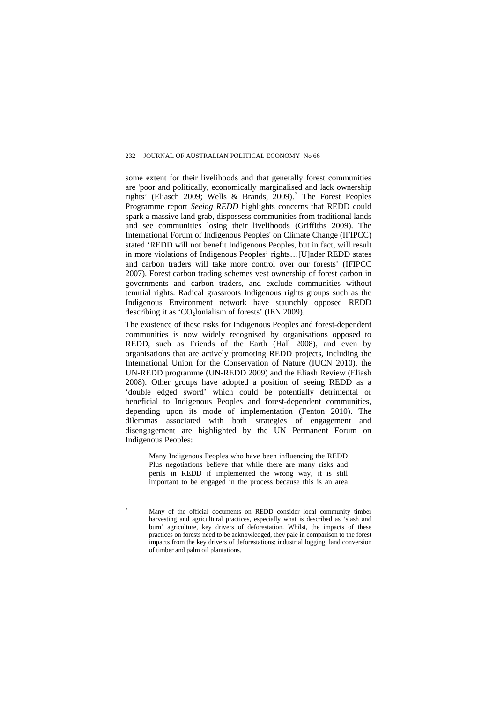some extent for their livelihoods and that generally forest communities are 'poor and politically, economically marginalised and lack ownership rights' (Eliasch 2009; Wells & Brands, 2009).<sup>[7](#page-10-0)</sup> The Forest Peoples Programme report *Seeing REDD* highlights concerns that REDD could spark a massive land grab, dispossess communities from traditional lands and see communities losing their livelihoods (Griffiths 2009). The International Forum of Indigenous Peoples' on Climate Change (IFIPCC) stated 'REDD will not benefit Indigenous Peoples, but in fact, will result in more violations of Indigenous Peoples' rights…[U]nder REDD states and carbon traders will take more control over our forests' (IFIPCC 2007). Forest carbon trading schemes vest ownership of forest carbon in governments and carbon traders, and exclude communities without tenurial rights. Radical grassroots Indigenous rights groups such as the Indigenous Environment network have staunchly opposed REDD describing it as 'CO<sub>2</sub>lonialism of forests' (IEN 2009).

The existence of these risks for Indigenous Peoples and forest-dependent communities is now widely recognised by organisations opposed to REDD, such as Friends of the Earth (Hall 2008), and even by organisations that are actively promoting REDD projects, including the International Union for the Conservation of Nature (IUCN 2010), the UN-REDD programme (UN-REDD 2009) and the Eliash Review (Eliash 2008). Other groups have adopted a position of seeing REDD as a 'double edged sword' which could be potentially detrimental or beneficial to Indigenous Peoples and forest-dependent communities, depending upon its mode of implementation (Fenton 2010). The dilemmas associated with both strategies of engagement and disengagement are highlighted by the UN Permanent Forum on Indigenous Peoples:

Many Indigenous Peoples who have been influencing the REDD Plus negotiations believe that while there are many risks and perils in REDD if implemented the wrong way, it is still important to be engaged in the process because this is an area

<span id="page-10-0"></span><sup>7</sup> Many of the official documents on REDD consider local community timber harvesting and agricultural practices, especially what is described as 'slash and burn' agriculture, key drivers of deforestation. Whilst, the impacts of these practices on forests need to be acknowledged, they pale in comparison to the forest impacts from the key drivers of deforestations: industrial logging, land conversion of timber and palm oil plantations.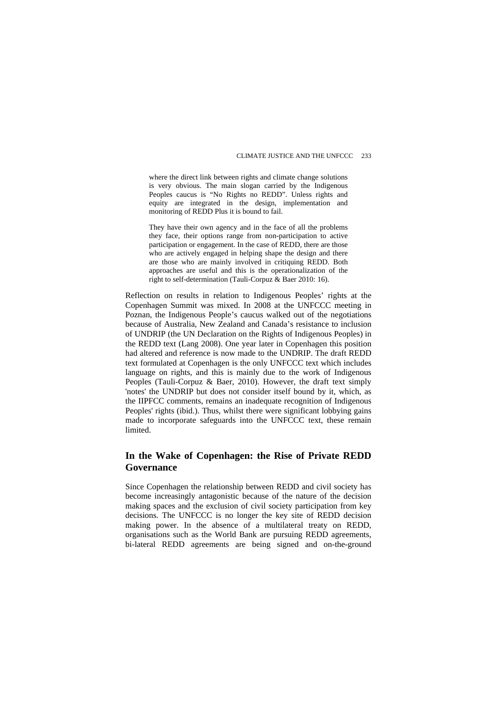where the direct link between rights and climate change solutions is very obvious. The main slogan carried by the Indigenous Peoples caucus is "No Rights no REDD". Unless rights and equity are integrated in the design, implementation and monitoring of REDD Plus it is bound to fail.

They have their own agency and in the face of all the problems they face, their options range from non-participation to active participation or engagement. In the case of REDD, there are those who are actively engaged in helping shape the design and there are those who are mainly involved in critiquing REDD. Both approaches are useful and this is the operationalization of the right to self-determination (Tauli-Corpuz & Baer 2010: 16).

Reflection on results in relation to Indigenous Peoples' rights at the Copenhagen Summit was mixed. In 2008 at the UNFCCC meeting in Poznan, the Indigenous People's caucus walked out of the negotiations because of Australia, New Zealand and Canada's resistance to inclusion of UNDRIP (the UN Declaration on the Rights of Indigenous Peoples) in the REDD text (Lang 2008). One year later in Copenhagen this position had altered and reference is now made to the UNDRIP. The draft REDD text formulated at Copenhagen is the only UNFCCC text which includes language on rights, and this is mainly due to the work of Indigenous Peoples (Tauli-Corpuz & Baer, 2010). However, the draft text simply 'notes' the UNDRIP but does not consider itself bound by it, which, as the IIPFCC comments, remains an inadequate recognition of Indigenous Peoples' rights (ibid.). Thus, whilst there were significant lobbying gains made to incorporate safeguards into the UNFCCC text, these remain **limited** 

#### **In the Wake of Copenhagen: the Rise of Private REDD Governance**

Since Copenhagen the relationship between REDD and civil society has become increasingly antagonistic because of the nature of the decision making spaces and the exclusion of civil society participation from key decisions. The UNFCCC is no longer the key site of REDD decision making power. In the absence of a multilateral treaty on REDD, organisations such as the World Bank are pursuing REDD agreements, bi-lateral REDD agreements are being signed and on-the-ground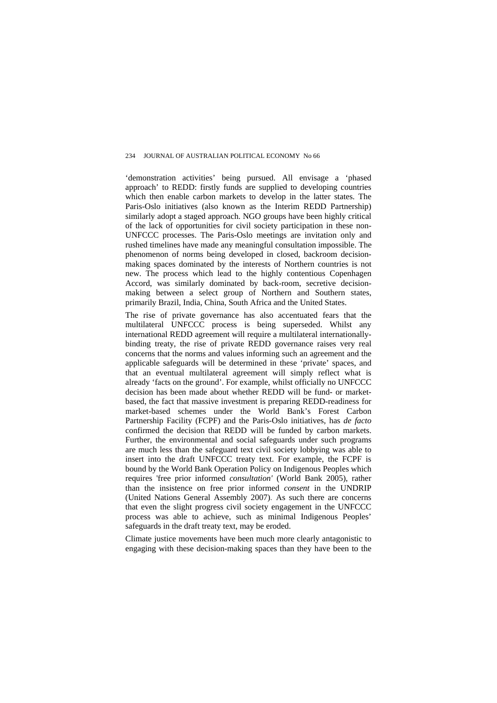'demonstration activities' being pursued. All envisage a 'phased approach' to REDD: firstly funds are supplied to developing countries which then enable carbon markets to develop in the latter states. The Paris-Oslo initiatives (also known as the Interim REDD Partnership) similarly adopt a staged approach. NGO groups have been highly critical of the lack of opportunities for civil society participation in these non-UNFCCC processes. The Paris-Oslo meetings are invitation only and rushed timelines have made any meaningful consultation impossible. The phenomenon of norms being developed in closed, backroom decisionmaking spaces dominated by the interests of Northern countries is not new. The process which lead to the highly contentious Copenhagen Accord, was similarly dominated by back-room, secretive decisionmaking between a select group of Northern and Southern states, primarily Brazil, India, China, South Africa and the United States.

The rise of private governance has also accentuated fears that the multilateral UNFCCC process is being superseded. Whilst any international REDD agreement will require a multilateral internationallybinding treaty, the rise of private REDD governance raises very real concerns that the norms and values informing such an agreement and the applicable safeguards will be determined in these 'private' spaces, and that an eventual multilateral agreement will simply reflect what is already 'facts on the ground'. For example, whilst officially no UNFCCC decision has been made about whether REDD will be fund- or marketbased, the fact that massive investment is preparing REDD-readiness for market-based schemes under the World Bank's Forest Carbon Partnership Facility (FCPF) and the Paris-Oslo initiatives, has *de facto* confirmed the decision that REDD will be funded by carbon markets. Further, the environmental and social safeguards under such programs are much less than the safeguard text civil society lobbying was able to insert into the draft UNFCCC treaty text. For example, the FCPF is bound by the World Bank Operation Policy on Indigenous Peoples which requires 'free prior informed *consultation'* (World Bank 2005), rather than the insistence on free prior informed *consent* in the UNDRIP (United Nations General Assembly 2007). As such there are concerns that even the slight progress civil society engagement in the UNFCCC process was able to achieve, such as minimal Indigenous Peoples' safeguards in the draft treaty text, may be eroded.

Climate justice movements have been much more clearly antagonistic to engaging with these decision-making spaces than they have been to the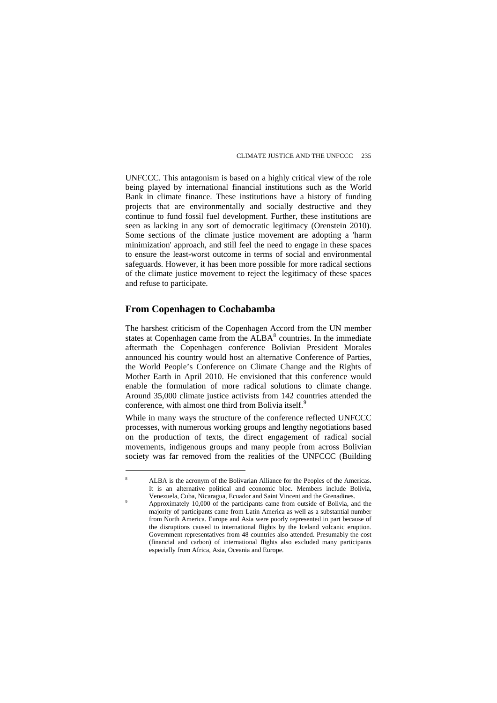UNFCCC. This antagonism is based on a highly critical view of the role being played by international financial institutions such as the World Bank in climate finance. These institutions have a history of funding projects that are environmentally and socially destructive and they continue to fund fossil fuel development. Further, these institutions are seen as lacking in any sort of democratic legitimacy (Orenstein 2010). Some sections of the climate justice movement are adopting a 'harm minimization' approach, and still feel the need to engage in these spaces to ensure the least-worst outcome in terms of social and environmental safeguards. However, it has been more possible for more radical sections of the climate justice movement to reject the legitimacy of these spaces and refuse to participate.

#### **From Copenhagen to Cochabamba**

 $\overline{a}$ 

The harshest criticism of the Copenhagen Accord from the UN member states at Copenhagen came from the  $ALBA<sup>8</sup>$  $ALBA<sup>8</sup>$  $ALBA<sup>8</sup>$  countries. In the immediate aftermath the Copenhagen conference Bolivian President Morales announced his country would host an alternative Conference of Parties, the World People's Conference on Climate Change and the Rights of Mother Earth in April 2010. He envisioned that this conference would enable the formulation of more radical solutions to climate change. Around 35,000 climate justice activists from 142 countries attended the conference, with almost one third from Bolivia itself.<sup>[9](#page-13-1)</sup>

While in many ways the structure of the conference reflected UNFCCC processes, with numerous working groups and lengthy negotiations based on the production of texts, the direct engagement of radical social movements, indigenous groups and many people from across Bolivian society was far removed from the realities of the UNFCCC (Building

<span id="page-13-1"></span><span id="page-13-0"></span><sup>8</sup> ALBA is the acronym of the Bolivarian Alliance for the Peoples of the Americas. It is an alternative political and economic bloc. Members include Bolivia, Venezuela, Cuba, Nicaragua, Ecuador and Saint Vincent and the Grenadines. 9

Approximately 10,000 of the participants came from outside of Bolivia, and the majority of participants came from Latin America as well as a substantial number from North America. Europe and Asia were poorly represented in part because of the disruptions caused to international flights by the Iceland volcanic eruption. Government representatives from 48 countries also attended. Presumably the cost (financial and carbon) of international flights also excluded many participants especially from Africa, Asia, Oceania and Europe.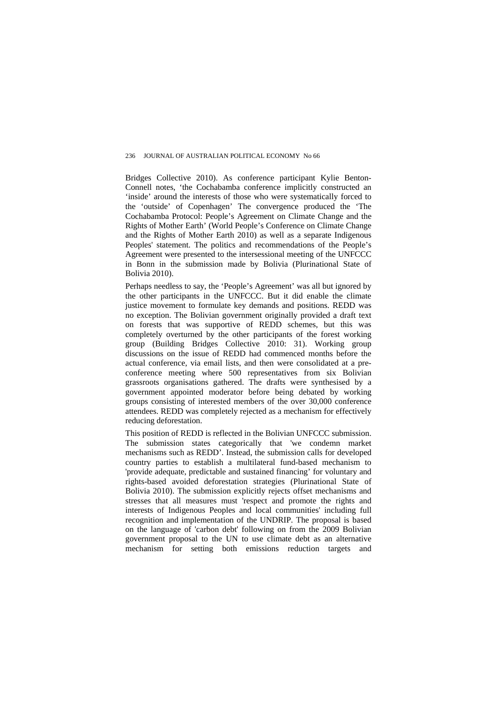Bridges Collective 2010). As conference participant Kylie Benton-Connell notes, 'the Cochabamba conference implicitly constructed an 'inside' around the interests of those who were systematically forced to the 'outside' of Copenhagen' The convergence produced the 'The Cochabamba Protocol: People's Agreement on Climate Change and the Rights of Mother Earth' (World People's Conference on Climate Change and the Rights of Mother Earth 2010) as well as a separate Indigenous Peoples' statement. The politics and recommendations of the People's Agreement were presented to the intersessional meeting of the UNFCCC in Bonn in the submission made by Bolivia (Plurinational State of Bolivia 2010).

Perhaps needless to say, the 'People's Agreement' was all but ignored by the other participants in the UNFCCC. But it did enable the climate justice movement to formulate key demands and positions. REDD was no exception. The Bolivian government originally provided a draft text on forests that was supportive of REDD schemes, but this was completely overturned by the other participants of the forest working group (Building Bridges Collective 2010: 31). Working group discussions on the issue of REDD had commenced months before the actual conference, via email lists, and then were consolidated at a preconference meeting where 500 representatives from six Bolivian grassroots organisations gathered. The drafts were synthesised by a government appointed moderator before being debated by working groups consisting of interested members of the over 30,000 conference attendees. REDD was completely rejected as a mechanism for effectively reducing deforestation.

This position of REDD is reflected in the Bolivian UNFCCC submission. The submission states categorically that 'we condemn market mechanisms such as REDD'. Instead, the submission calls for developed country parties to establish a multilateral fund-based mechanism to 'provide adequate, predictable and sustained financing' for voluntary and rights-based avoided deforestation strategies (Plurinational State of Bolivia 2010). The submission explicitly rejects offset mechanisms and stresses that all measures must 'respect and promote the rights and interests of Indigenous Peoples and local communities' including full recognition and implementation of the UNDRIP. The proposal is based on the language of 'carbon debt' following on from the 2009 Bolivian government proposal to the UN to use climate debt as an alternative mechanism for setting both emissions reduction targets and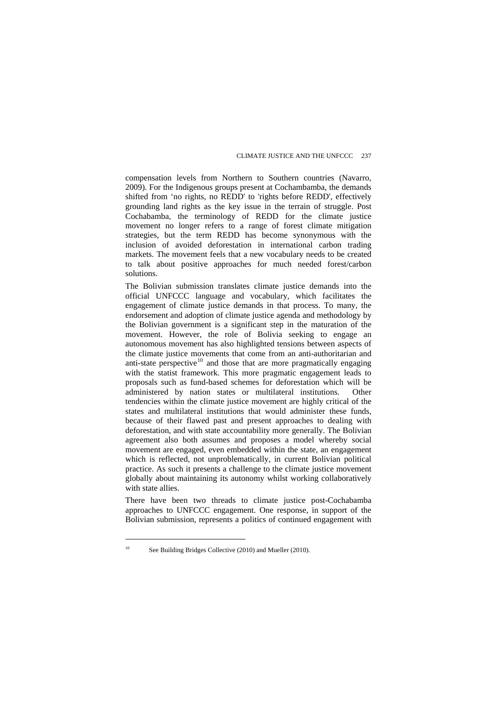compensation levels from Northern to Southern countries (Navarro, 2009). For the Indigenous groups present at Cochambamba, the demands shifted from 'no rights, no REDD' to 'rights before REDD', effectively grounding land rights as the key issue in the terrain of struggle. Post Cochabamba, the terminology of REDD for the climate justice movement no longer refers to a range of forest climate mitigation strategies, but the term REDD has become synonymous with the inclusion of avoided deforestation in international carbon trading markets. The movement feels that a new vocabulary needs to be created to talk about positive approaches for much needed forest/carbon solutions.

The Bolivian submission translates climate justice demands into the official UNFCCC language and vocabulary, which facilitates the engagement of climate justice demands in that process. To many, the endorsement and adoption of climate justice agenda and methodology by the Bolivian government is a significant step in the maturation of the movement. However, the role of Bolivia seeking to engage an autonomous movement has also highlighted tensions between aspects of the climate justice movements that come from an anti-authoritarian and anti-state perspective $10$  and those that are more pragmatically engaging with the statist framework. This more pragmatic engagement leads to proposals such as fund-based schemes for deforestation which will be administered by nation states or multilateral institutions. Other tendencies within the climate justice movement are highly critical of the states and multilateral institutions that would administer these funds, because of their flawed past and present approaches to dealing with deforestation, and with state accountability more generally. The Bolivian agreement also both assumes and proposes a model whereby social movement are engaged, even embedded within the state, an engagement which is reflected, not unproblematically, in current Bolivian political practice. As such it presents a challenge to the climate justice movement globally about maintaining its autonomy whilst working collaboratively with state allies

There have been two threads to climate justice post-Cochabamba approaches to UNFCCC engagement. One response, in support of the Bolivian submission, represents a politics of continued engagement with

<span id="page-15-0"></span><sup>&</sup>lt;sup>10</sup> See Building Bridges Collective (2010) and Mueller (2010).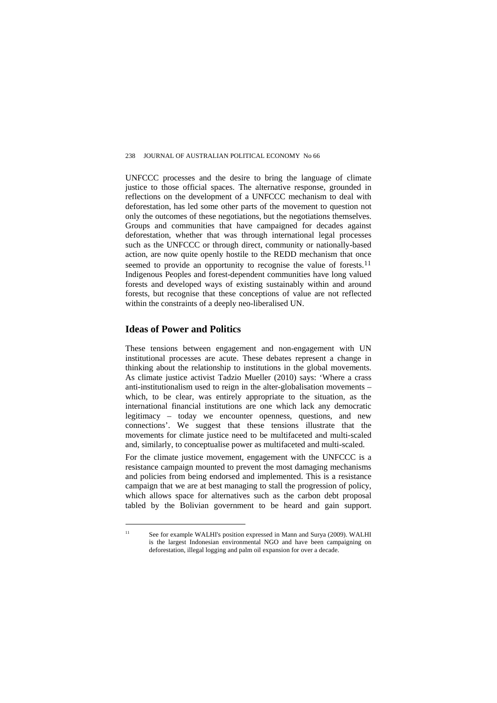UNFCCC processes and the desire to bring the language of climate justice to those official spaces. The alternative response, grounded in reflections on the development of a UNFCCC mechanism to deal with deforestation, has led some other parts of the movement to question not only the outcomes of these negotiations, but the negotiations themselves. Groups and communities that have campaigned for decades against deforestation, whether that was through international legal processes such as the UNFCCC or through direct, community or nationally-based action, are now quite openly hostile to the REDD mechanism that once seemed to provide an opportunity to recognise the value of forests.<sup>[11](#page-16-0)</sup> Indigenous Peoples and forest-dependent communities have long valued forests and developed ways of existing sustainably within and around forests, but recognise that these conceptions of value are not reflected within the constraints of a deeply neo-liberalised UN.

#### **Ideas of Power and Politics**

 $\overline{a}$ 

These tensions between engagement and non-engagement with UN institutional processes are acute. These debates represent a change in thinking about the relationship to institutions in the global movements. As climate justice activist Tadzio Mueller (2010) says: 'Where a crass anti-institutionalism used to reign in the alter-globalisation movements – which, to be clear, was entirely appropriate to the situation, as the international financial institutions are one which lack any democratic legitimacy – today we encounter openness, questions, and new connections'. We suggest that these tensions illustrate that the movements for climate justice need to be multifaceted and multi-scaled and, similarly, to conceptualise power as multifaceted and multi-scaled.

For the climate justice movement, engagement with the UNFCCC is a resistance campaign mounted to prevent the most damaging mechanisms and policies from being endorsed and implemented. This is a resistance campaign that we are at best managing to stall the progression of policy, which allows space for alternatives such as the carbon debt proposal tabled by the Bolivian government to be heard and gain support.

<span id="page-16-0"></span><sup>&</sup>lt;sup>11</sup> See for example WALHI's position expressed in Mann and Surya (2009). WALHI is the largest Indonesian environmental NGO and have been campaigning on deforestation, illegal logging and palm oil expansion for over a decade.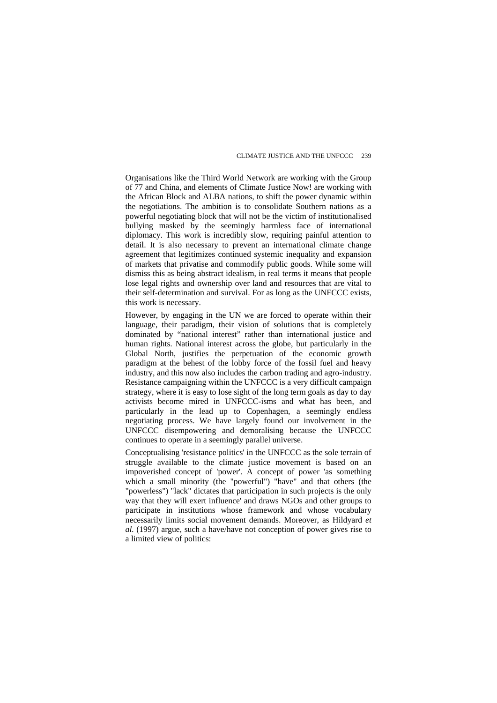Organisations like the Third World Network are working with the Group of 77 and China, and elements of Climate Justice Now! are working with the African Block and ALBA nations, to shift the power dynamic within the negotiations. The ambition is to consolidate Southern nations as a powerful negotiating block that will not be the victim of institutionalised bullying masked by the seemingly harmless face of international diplomacy. This work is incredibly slow, requiring painful attention to detail. It is also necessary to prevent an international climate change agreement that legitimizes continued systemic inequality and expansion of markets that privatise and commodify public goods. While some will dismiss this as being abstract idealism, in real terms it means that people lose legal rights and ownership over land and resources that are vital to their self-determination and survival. For as long as the UNFCCC exists, this work is necessary.

However, by engaging in the UN we are forced to operate within their language, their paradigm, their vision of solutions that is completely dominated by "national interest" rather than international justice and human rights. National interest across the globe, but particularly in the Global North, justifies the perpetuation of the economic growth paradigm at the behest of the lobby force of the fossil fuel and heavy industry, and this now also includes the carbon trading and agro-industry. Resistance campaigning within the UNFCCC is a very difficult campaign strategy, where it is easy to lose sight of the long term goals as day to day activists become mired in UNFCCC-isms and what has been, and particularly in the lead up to Copenhagen, a seemingly endless negotiating process. We have largely found our involvement in the UNFCCC disempowering and demoralising because the UNFCCC continues to operate in a seemingly parallel universe.

Conceptualising 'resistance politics' in the UNFCCC as the sole terrain of struggle available to the climate justice movement is based on an impoverished concept of 'power'. A concept of power 'as something which a small minority (the "powerful") "have" and that others (the "powerless") "lack" dictates that participation in such projects is the only way that they will exert influence' and draws NGOs and other groups to participate in institutions whose framework and whose vocabulary necessarily limits social movement demands. Moreover, as Hildyard *et al.* (1997) argue, such a have/have not conception of power gives rise to a limited view of politics: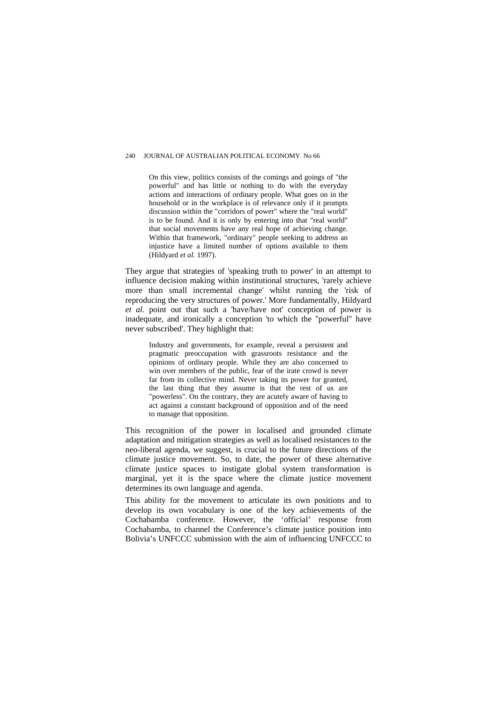On this view, politics consists of the comings and goings of "the powerful" and has little or nothing to do with the everyday actions and interactions of ordinary people. What goes on in the household or in the workplace is of relevance only if it prompts discussion within the "corridors of power" where the "real world" is to be found. And it is only by entering into that "real world" that social movements have any real hope of achieving change. Within that framework, "ordinary" people seeking to address an injustice have a limited number of options available to them (Hildyard *et al.* 1997).

They argue that strategies of 'speaking truth to power' in an attempt to influence decision making within institutional structures, 'rarely achieve more than small incremental change' whilst running the 'risk of reproducing the very structures of power.' More fundamentally, Hildyard *et al.* point out that such a 'have/have not' conception of power is inadequate, and ironically a conception 'to which the "powerful" have never subscribed'. They highlight that:

Industry and governments, for example, reveal a persistent and pragmatic preoccupation with grassroots resistance and the opinions of ordinary people. While they are also concerned to win over members of the public, fear of the irate crowd is never far from its collective mind. Never taking its power for granted, the last thing that they assume is that the rest of us are "powerless". On the contrary, they are acutely aware of having to act against a constant background of opposition and of the need to manage that opposition.

This recognition of the power in localised and grounded climate adaptation and mitigation strategies as well as localised resistances to the neo-liberal agenda, we suggest, is crucial to the future directions of the climate justice movement. So, to date, the power of these alternative climate justice spaces to instigate global system transformation is marginal, yet it is the space where the climate justice movement determines its own language and agenda.

This ability for the movement to articulate its own positions and to develop its own vocabulary is one of the key achievements of the Cochabamba conference. However, the 'official' response from Cochabamba, to channel the Conference's climate justice position into Bolivia's UNFCCC submission with the aim of influencing UNFCCC to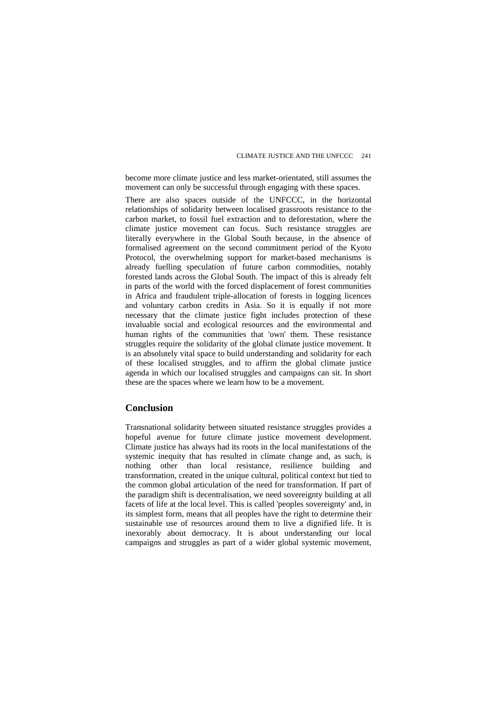become more climate justice and less market-orientated, still assumes the movement can only be successful through engaging with these spaces.

There are also spaces outside of the UNFCCC, in the horizontal relationships of solidarity between localised grassroots resistance to the carbon market, to fossil fuel extraction and to deforestation, where the climate justice movement can focus. Such resistance struggles are literally everywhere in the Global South because, in the absence of formalised agreement on the second commitment period of the Kyoto Protocol, the overwhelming support for market-based mechanisms is already fuelling speculation of future carbon commodities, notably forested lands across the Global South. The impact of this is already felt in parts of the world with the forced displacement of forest communities in Africa and fraudulent triple-allocation of forests in logging licences and voluntary carbon credits in Asia. So it is equally if not more necessary that the climate justice fight includes protection of these invaluable social and ecological resources and the environmental and human rights of the communities that 'own' them. These resistance struggles require the solidarity of the global climate justice movement. It is an absolutely vital space to build understanding and solidarity for each of these localised struggles, and to affirm the global climate justice agenda in which our localised struggles and campaigns can sit. In short these are the spaces where we learn how to be a movement.

#### **Conclusion**

Transnational solidarity between situated resistance struggles provides a hopeful avenue for future climate justice movement development. Climate justice has always had its roots in the local manifestations of the systemic inequity that has resulted in climate change and, as such, is nothing other than local resistance, resilience building and transformation, created in the unique cultural, political context but tied to the common global articulation of the need for transformation. If part of the paradigm shift is decentralisation, we need sovereignty building at all facets of life at the local level. This is called 'peoples sovereignty' and, in its simplest form, means that all peoples have the right to determine their sustainable use of resources around them to live a dignified life. It is inexorably about democracy. It is about understanding our local campaigns and struggles as part of a wider global systemic movement,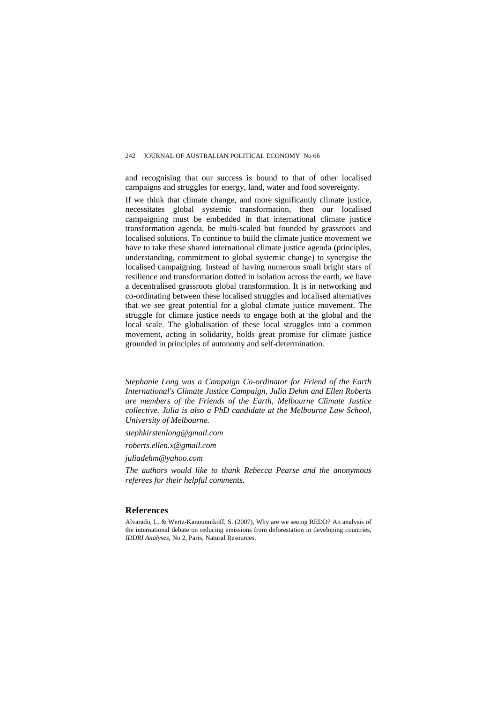and recognising that our success is bound to that of other localised campaigns and struggles for energy, land, water and food sovereignty.

If we think that climate change, and more significantly climate justice, necessitates global systemic transformation, then our localised campaigning must be embedded in that international climate justice transformation agenda, be multi-scaled but founded by grassroots and localised solutions. To continue to build the climate justice movement we have to take these shared international climate justice agenda (principles, understanding, commitment to global systemic change) to synergise the localised campaigning. Instead of having numerous small bright stars of resilience and transformation dotted in isolation across the earth, we have a decentralised grassroots global transformation. It is in networking and co-ordinating between these localised struggles and localised alternatives that we see great potential for a global climate justice movement. The struggle for climate justice needs to engage both at the global and the local scale. The globalisation of these local struggles into a common movement, acting in solidarity, holds great promise for climate justice grounded in principles of autonomy and self-determination.

*Stephanie Long was a Campaign Co-ordinator for Friend of the Earth International's Climate Justice Campaign, Julia Dehm and Ellen Roberts are members of the Friends of the Earth, Melbourne Climate Justice collective. Julia is also a PhD candidate at the Melbourne Law School, University of Melbourne.* 

*stephkirstenlong@gmail.com* 

*roberts.ellen.x@gmail.com* 

*[juliadehm@yahoo.com](mailto:juliadehm@yahoo.com)*

*The authors would like to thank Rebecca Pearse and the anonymous referees for their helpful comments.* 

#### **References**

Alvarado, L. & Wertz-Kanounnikoff, S. (2007), Why are we seeing REDD? An analysis of the international debate on reducing emissions from deforestation in developing countries, *IDDRI Analyses*, No 2, Paris, Natural Resources.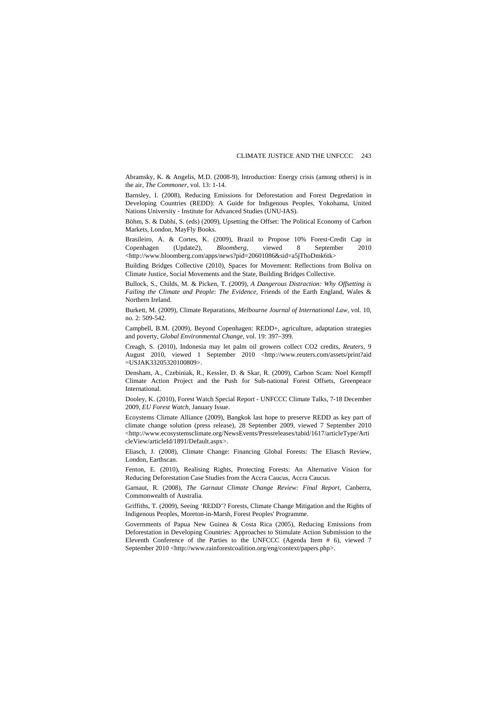Abramsky, K. & Angelis, M.D. (2008-9), Introduction: Energy crisis (among others) is in the air, *The Commoner*, vol. 13: 1-14.

Barnsley, I. (2008), Reducing Emissions for Deforestation and Forest Degredation in Developing Countries (REDD): A Guide for Indigenous Peoples, Yokohama, United Nations University - Institute for Advanced Studies (UNU-IAS).

Böhm, S. & Dabhi, S. (eds) (2009), Upsetting the Offset: The Political Economy of Carbon Markets, London, MayFly Books.

Brasileiro, A. & Cortes, K. (2009), Brazil to Propose 10% Forest-Credit Cap in Copenhagen (Update2), *Bloomberg*, viewed 8 September 2010 <[http://www.bloomberg.com/apps/news?pid=20601086&sid=a5jThoDmk6tk>](http://www.bloomberg.com/apps/news?pid=20601086&sid=a5jThoDmk6tk)

Building Bridges Collective (2010), Spaces for Movement: Reflections from Boliva on Climate Justice, Social Movements and the State, Building Bridges Collective.

Bullock, S., Childs, M. & Picken, T. (2009), *A Dangerous Distraction: Why Offsetting is Failing the Climate and People: The Evidence*, Friends of the Earth England, Wales & Northern Ireland.

Burkett, M. (2009), Climate Reparations, *Melbourne Journal of International Law*, vol. 10, no. 2: 509-542.

Campbell, B.M. (2009), Beyond Copenhagen: REDD+, agriculture, adaptation strategies and poverty, *Global Environmental Change*, vol. 19: 397–399.

Creagh, S. (2010), Indonesia may let palm oil growers collect CO2 credits, *Reuters*, 9 August 2010, viewed 1 September 2010 <http://www.reuters.com/assets/print?aid =USJAK33205320100809>.

Densham, A., Czebiniak, R., Kessler, D. & Skar, R. (2009), Carbon Scam: Noel Kempff Climate Action Project and the Push for Sub-national Forest Offsets, Greenpeace International.

Dooley, K. (2010), Forest Watch Special Report - UNFCCC Climate Talks, 7-18 December 2009, *EU Forest Watch*, January Issue.

Ecoystems Climate Alliance (2009), Bangkok last hope to preserve REDD as key part of climate change solution (press release), 28 September 2009, viewed 7 September 2010 <http://www.ecosystemsclimate.org/NewsEvents/Pressreleases/tabid/1617/articleType/Arti cleView/articleId/1891/Default.aspx>.

Eliasch, J. (2008), Climate Change: Financing Global Forests: The Eliasch Review, London, Earthscan.

Fenton, E. (2010), Realising Rights, Protecting Forests: An Alternative Vision for Reducing Deforestation Case Studies from the Accra Caucus, Accra Caucus.

Garnaut, R. (2008), *The Garnaut Climate Change Review: Final Report, C*anberra, Commonwealth of Australia.

Griffiths, T. (2009), Seeing 'REDD'? Forests, Climate Change Mitigation and the Rights of Indigenous Peoples, Moreton-in-Marsh, Forest Peoples' Programme.

Governments of Papua New Guinea & Costa Rica (2005), Reducing Emissions from Deforestation in Developing Countries: Approaches to Stimulate Action Submission to the Eleventh Conference of the Parties to the UNFCCC (Agenda Item # 6), viewed 7 September 2010 <http://www.rainforestcoalition.org/eng/context/papers.php>.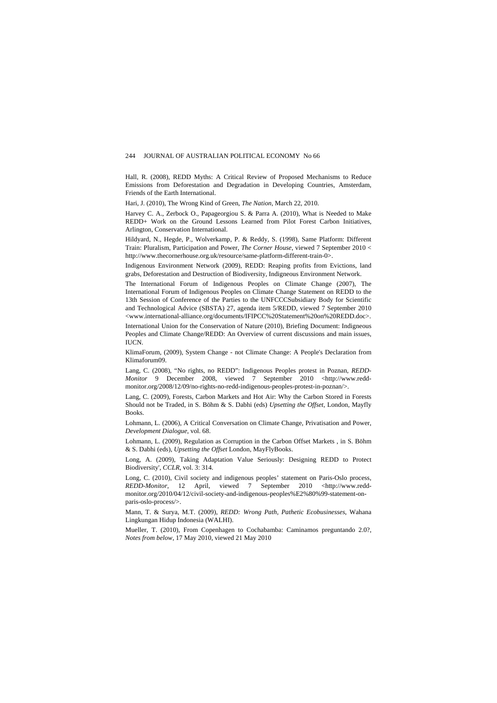Hall, R. (2008), REDD Myths: A Critical Review of Proposed Mechanisms to Reduce Emissions from Deforestation and Degradation in Developing Countries, Amsterdam, Friends of the Earth International.

Hari, J. (2010), The Wrong Kind of Green, *The Nation*, March 22, 2010.

Harvey C. A., Zerbock O., Papageorgiou S. & Parra A. (2010), What is Needed to Make REDD+ Work on the Ground Lessons Learned from Pilot Forest Carbon Initiatives, Arlington, Conservation International.

Hildyard, N., Hegde, P., Wolverkamp, P. & Reddy, S. (1998), Same Platform: Different Train: Pluralism, Participation and Power, *The Corner House*, viewed 7 September 2010 < http://www.thecornerhouse.org.uk/resource/same-platform-different-train-0>.

Indigenous Environment Network (2009), REDD: Reaping profits from Evictions, land grabs, Deforestation and Destruction of Biodiversity, Indigneous Environment Network.

The International Forum of Indigenous Peoples on Climate Change (2007), The International Forum of Indigenous Peoples on Climate Change Statement on REDD to the 13th Session of Conference of the Parties to the UNFCCCSubsidiary Body for Scientific and Technological Advice (SBSTA) 27, agenda item 5/REDD, viewed 7 September 2010 <www.international-alliance.org/documents/IFIPCC%20Statement%20on%20REDD.doc>.

International Union for the Conservation of Nature (2010), Briefing Document: Indigneous Peoples and Climate Change/REDD: An Overview of current discussions and main issues, IUCN.

KlimaForum, (2009), System Change - not Climate Change: A People's Declaration from Klimaforum09.

Lang, C. (2008), "No rights, no REDD": Indigenous Peoples protest in Poznan, *REDD-Monitor* 9 December 2008, viewed 7 September 2010 <http://www.reddmonitor.org/2008/12/09/no-rights-no-redd-indigenous-peoples-protest-in-poznan/>.

Lang, C. (2009), Forests, Carbon Markets and Hot Air: Why the Carbon Stored in Forests Should not be Traded, in S. Böhm & S. Dabhi (eds) *Upsetting the Offset,* London, Mayfly Books.

Lohmann, L. (2006), A Critical Conversation on Climate Change, Privatisation and Power, *Development Dialogue*, vol. 68.

Lohmann, L. (2009), Regulation as Corruption in the Carbon Offset Markets , in S. Böhm & S. Dabhi (eds), *Upsetting the Offset* London, MayFlyBooks.

Long, A. (2009), Taking Adaptation Value Seriously: Designing REDD to Protect Biodiversity', *CCLR*, vol. 3: 314.

Long, C. (2010), Civil society and indigenous peoples' statement on Paris-Oslo process, *REDD-Monitor*, 12 April, viewed 7 September 2010 <[http://www.redd](http://www.redd-monitor.org/2010/04/12/civil-society-and-indigenous-peoples%E2%80%99-statement-on-paris-oslo-process/%3e)[monitor.org/2010/04/12/civil-society-and-indigenous-peoples%E2%80%99-statement-on](http://www.redd-monitor.org/2010/04/12/civil-society-and-indigenous-peoples%E2%80%99-statement-on-paris-oslo-process/%3e)[paris-oslo-process/>](http://www.redd-monitor.org/2010/04/12/civil-society-and-indigenous-peoples%E2%80%99-statement-on-paris-oslo-process/%3e).

Mann, T. & Surya, M.T. (2009), *REDD: Wrong Path, Pathetic Ecobusinesses*, Wahana Lingkungan Hidup Indonesia (WALHI).

Mueller, T. (2010), From Copenhagen to Cochabamba: Caminamos preguntando 2.0?, *Notes from below*, 17 May 2010, viewed 21 May 2010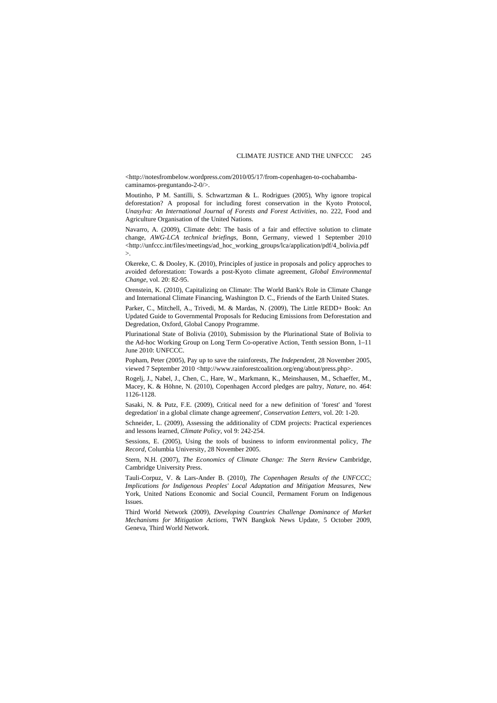<[http://notesfrombelow.wordpress.com/2010/05/17/from-copenhagen-to-cochabamba](http://notesfrombelow.wordpress.com/2010/05/17/from-copenhagen-to-cochabamba-caminamos-preguntando-2-0/%3e)[caminamos-preguntando-2-0/>.](http://notesfrombelow.wordpress.com/2010/05/17/from-copenhagen-to-cochabamba-caminamos-preguntando-2-0/%3e)

Moutinho, P M. Santilli, S. Schwartzman & L. Rodrigues (2005), Why ignore tropical deforestation? A proposal for including forest conservation in the Kyoto Protocol, *Unasylva: An International Journal of Forests and Forest Activities*, no. 222, Food and Agriculture Organisation of the United Nations.

Navarro, A. (2009), Climate debt: The basis of a fair and effective solution to climate change, *AWG-LCA technical briefings*, Bonn, Germany, viewed 1 September 2010 <[http://unfccc.int/files/meetings/ad\\_hoc\\_working\\_groups/lca/application/pdf/4\\_bolivia.pdf](http://unfccc.int/files/meetings/ad_hoc_working_groups/lca/application/pdf/4_bolivia.pdf%3e)  $\mathcal{L}$ 

Okereke, C. & Dooley, K. (2010), Principles of justice in proposals and policy approches to avoided deforestation: Towards a post-Kyoto climate agreement, *Global Environmental Change*, vol. 20: 82-95.

Orenstein, K. (2010), Capitalizing on Climate: The World Bank's Role in Climate Change and International Climate Financing, Washington D. C., Friends of the Earth United States.

Parker, C., Mitchell, A., Trivedi, M. & Mardas, N. (2009), The Little REDD+ Book: An Updated Guide to Governmental Proposals for Reducing Emissions from Deforestation and Degredation, Oxford, Global Canopy Programme.

Plurinational State of Bolivia (2010), Submission by the Plurinational State of Bolivia to the Ad-hoc Working Group on Long Term Co-operative Action, Tenth session Bonn, 1–11 June 2010: UNFCCC.

Popham, Peter (2005), Pay up to save the rainforests, *The Independent*, 28 November 2005, viewed 7 September 2010 <http://www.rainforestcoalition.org/eng/about/press.php>.

Rogelj, J., Nabel, J., Chen, C., Hare, W., Markmann, K., Meinshausen, M., Schaeffer, M., Macey, K. & Höhne, N. (2010), Copenhagen Accord pledges are paltry, *Nature*, no. 464: 1126-1128.

Sasaki, N. & Putz, F.E. (2009), Critical need for a new definition of 'forest' and 'forest degredation' in a global climate change agreement', *Conservation Letters*, vol. 20: 1-20.

Schneider, L. (2009), Assessing the additionality of CDM projects: Practical experiences and lessons learned, *Climate Policy*, vol 9: 242-254.

Sessions, E. (2005), Using the tools of business to inform environmental policy, *The Record*, Columbia University, 28 November 2005.

Stern, N.H. (2007), *The Economics of Climate Change: The Stern Review* Cambridge, Cambridge University Press.

Tauli-Corpuz, V. & Lars-Ander B. (2010), *The Copenhagen Results of the UNFCCC; Implications for Indigenous Peoples' Local Adaptation and Mitigation Measures*, New York, United Nations Economic and Social Council, Permament Forum on Indigenous Issues.

Third World Network (2009), *Developing Countries Challenge Dominance of Market Mechanisms for Mitigation Actions,* TWN Bangkok News Update, 5 October 2009, Geneva, Third World Network.